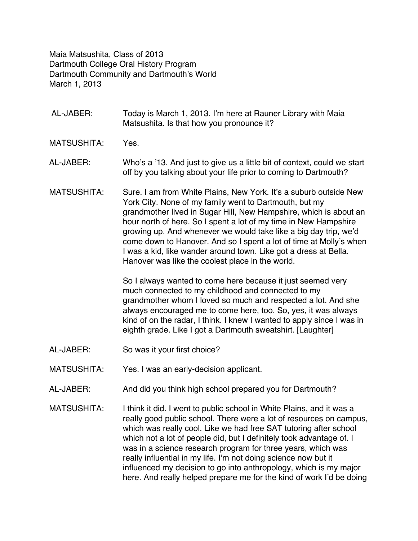Maia Matsushita, Class of 2013 Dartmouth College Oral History Program Dartmouth Community and Dartmouth's World March 1, 2013

- AL-JABER: Today is March 1, 2013. I'm here at Rauner Library with Maia Matsushita. Is that how you pronounce it?
- MATSUSHITA: Yes.
- AL-JABER: Who's a '13. And just to give us a little bit of context, could we start off by you talking about your life prior to coming to Dartmouth?
- MATSUSHITA: Sure. I am from White Plains, New York. It's a suburb outside New York City. None of my family went to Dartmouth, but my grandmother lived in Sugar Hill, New Hampshire, which is about an hour north of here. So I spent a lot of my time in New Hampshire growing up. And whenever we would take like a big day trip, we'd come down to Hanover. And so I spent a lot of time at Molly's when I was a kid, like wander around town. Like got a dress at Bella. Hanover was like the coolest place in the world.

So I always wanted to come here because it just seemed very much connected to my childhood and connected to my grandmother whom I loved so much and respected a lot. And she always encouraged me to come here, too. So, yes, it was always kind of on the radar, I think. I knew I wanted to apply since I was in eighth grade. Like I got a Dartmouth sweatshirt. [Laughter]

- AL-JABER: So was it your first choice?
- MATSUSHITA: Yes. I was an early-decision applicant.
- AL-JABER: And did you think high school prepared you for Dartmouth?
- MATSUSHITA: I think it did. I went to public school in White Plains, and it was a really good public school. There were a lot of resources on campus, which was really cool. Like we had free SAT tutoring after school which not a lot of people did, but I definitely took advantage of. I was in a science research program for three years, which was really influential in my life. I'm not doing science now but it influenced my decision to go into anthropology, which is my major here. And really helped prepare me for the kind of work I'd be doing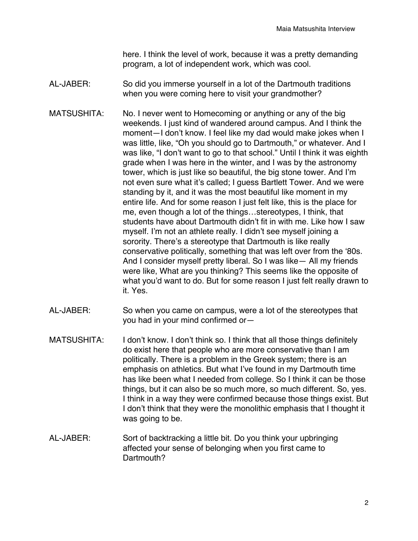here. I think the level of work, because it was a pretty demanding program, a lot of independent work, which was cool.

- AL-JABER: So did you immerse yourself in a lot of the Dartmouth traditions when you were coming here to visit your grandmother?
- MATSUSHITA: No. I never went to Homecoming or anything or any of the big weekends. I just kind of wandered around campus. And I think the moment—I don't know. I feel like my dad would make jokes when I was little, like, "Oh you should go to Dartmouth," or whatever. And I was like, "I don't want to go to that school." Until I think it was eighth grade when I was here in the winter, and I was by the astronomy tower, which is just like so beautiful, the big stone tower. And I'm not even sure what it's called; I guess Bartlett Tower. And we were standing by it, and it was the most beautiful like moment in my entire life. And for some reason I just felt like, this is the place for me, even though a lot of the things…stereotypes, I think, that students have about Dartmouth didn't fit in with me. Like how I saw myself. I'm not an athlete really. I didn't see myself joining a sorority. There's a stereotype that Dartmouth is like really conservative politically, something that was left over from the '80s. And I consider myself pretty liberal. So I was like— All my friends were like, What are you thinking? This seems like the opposite of what you'd want to do. But for some reason I just felt really drawn to it. Yes.
- AL-JABER: So when you came on campus, were a lot of the stereotypes that you had in your mind confirmed or—
- MATSUSHITA: I don't know. I don't think so. I think that all those things definitely do exist here that people who are more conservative than I am politically. There is a problem in the Greek system; there is an emphasis on athletics. But what I've found in my Dartmouth time has like been what I needed from college. So I think it can be those things, but it can also be so much more, so much different. So, yes. I think in a way they were confirmed because those things exist. But I don't think that they were the monolithic emphasis that I thought it was going to be.
- AL-JABER: Sort of backtracking a little bit. Do you think your upbringing affected your sense of belonging when you first came to Dartmouth?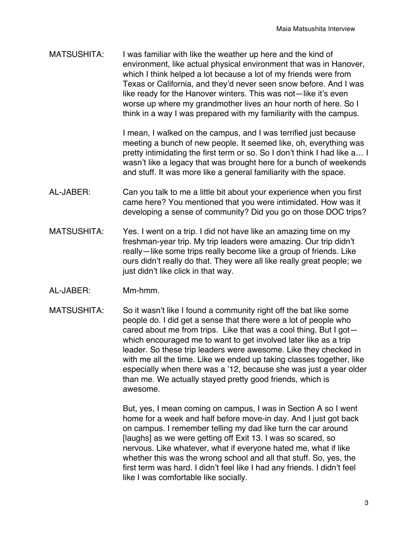MATSUSHITA: I was familiar with like the weather up here and the kind of environment, like actual physical environment that was in Hanover, which I think helped a lot because a lot of my friends were from Texas or California, and they'd never seen snow before. And I was like ready for the Hanover winters. This was not—like it's even worse up where my grandmother lives an hour north of here. So I think in a way I was prepared with my familiarity with the campus.

> I mean, I walked on the campus, and I was terrified just because meeting a bunch of new people. It seemed like, oh, everything was pretty intimidating the first term or so. So I don't think I had like a… I wasn't like a legacy that was brought here for a bunch of weekends and stuff. It was more like a general familiarity with the space.

- AL-JABER: Can you talk to me a little bit about your experience when you first came here? You mentioned that you were intimidated. How was it developing a sense of community? Did you go on those DOC trips?
- MATSUSHITA: Yes. I went on a trip. I did not have like an amazing time on my freshman-year trip. My trip leaders were amazing. Our trip didn't really—like some trips really become like a group of friends. Like ours didn't really do that. They were all like really great people; we just didn't like click in that way.
- AL-JABER: Mm-hmm.
- MATSUSHITA: So it wasn't like I found a community right off the bat like some people do. I did get a sense that there were a lot of people who cared about me from trips. Like that was a cool thing. But I got which encouraged me to want to get involved later like as a trip leader. So these trip leaders were awesome. Like they checked in with me all the time. Like we ended up taking classes together, like especially when there was a '12, because she was just a year older than me. We actually stayed pretty good friends, which is awesome.

But, yes, I mean coming on campus, I was in Section A so I went home for a week and half before move-in day. And I just got back on campus. I remember telling my dad like turn the car around [laughs] as we were getting off Exit 13. I was so scared, so nervous. Like whatever, what if everyone hated me, what if like whether this was the wrong school and all that stuff. So, yes, the first term was hard. I didn't feel like I had any friends. I didn't feel like I was comfortable like socially.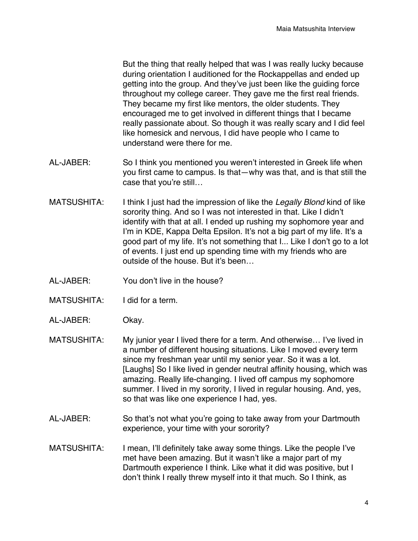But the thing that really helped that was I was really lucky because during orientation I auditioned for the Rockappellas and ended up getting into the group. And they've just been like the guiding force throughout my college career. They gave me the first real friends. They became my first like mentors, the older students. They encouraged me to get involved in different things that I became really passionate about. So though it was really scary and I did feel like homesick and nervous, I did have people who I came to understand were there for me.

- AL-JABER: So I think you mentioned you weren't interested in Greek life when you first came to campus. Is that—why was that, and is that still the case that you're still…
- MATSUSHITA: I think I just had the impression of like the *Legally Blond* kind of like sorority thing. And so I was not interested in that. Like I didn't identify with that at all. I ended up rushing my sophomore year and I'm in KDE, Kappa Delta Epsilon. It's not a big part of my life. It's a good part of my life. It's not something that I... Like I don't go to a lot of events. I just end up spending time with my friends who are outside of the house. But it's been…
- AL-JABER: You don't live in the house?
- MATSUSHITA: I did for a term.
- AL-JABER: Okay.
- MATSUSHITA: My junior year I lived there for a term. And otherwise... I've lived in a number of different housing situations. Like I moved every term since my freshman year until my senior year. So it was a lot. [Laughs] So I like lived in gender neutral affinity housing, which was amazing. Really life-changing. I lived off campus my sophomore summer. I lived in my sorority, I lived in regular housing. And, yes, so that was like one experience I had, yes.
- AL-JABER: So that's not what you're going to take away from your Dartmouth experience, your time with your sorority?
- MATSUSHITA: I mean, I'll definitely take away some things. Like the people I've met have been amazing. But it wasn't like a major part of my Dartmouth experience I think. Like what it did was positive, but I don't think I really threw myself into it that much. So I think, as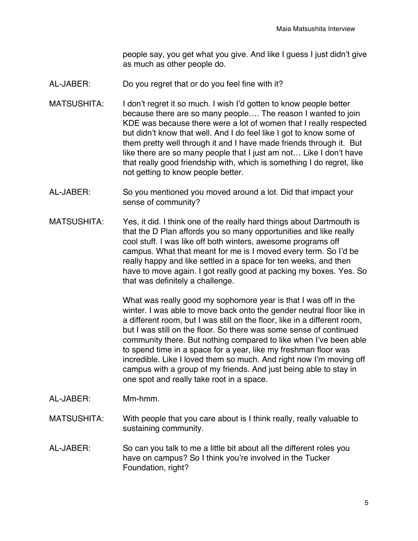people say, you get what you give. And like I guess I just didn't give as much as other people do.

- AL-JABER: Do you regret that or do you feel fine with it?
- MATSUSHITA: I don't regret it so much. I wish I'd gotten to know people better because there are so many people…. The reason I wanted to join KDE was because there were a lot of women that I really respected but didn't know that well. And I do feel like I got to know some of them pretty well through it and I have made friends through it. But like there are so many people that I just am not… Like I don't have that really good friendship with, which is something I do regret, like not getting to know people better.
- AL-JABER: So you mentioned you moved around a lot. Did that impact your sense of community?
- MATSUSHITA: Yes, it did. I think one of the really hard things about Dartmouth is that the D Plan affords you so many opportunities and like really cool stuff. I was like off both winters, awesome programs off campus. What that meant for me is I moved every term. So I'd be really happy and like settled in a space for ten weeks, and then have to move again. I got really good at packing my boxes. Yes. So that was definitely a challenge.

What was really good my sophomore year is that I was off in the winter. I was able to move back onto the gender neutral floor like in a different room, but I was still on the floor, like in a different room, but I was still on the floor. So there was some sense of continued community there. But nothing compared to like when I've been able to spend time in a space for a year, like my freshman floor was incredible. Like I loved them so much. And right now I'm moving off campus with a group of my friends. And just being able to stay in one spot and really take root in a space.

- AL-JABER: Mm-hmm.
- MATSUSHITA: With people that you care about is I think really, really valuable to sustaining community.
- AL-JABER: So can you talk to me a little bit about all the different roles you have on campus? So I think you're involved in the Tucker Foundation, right?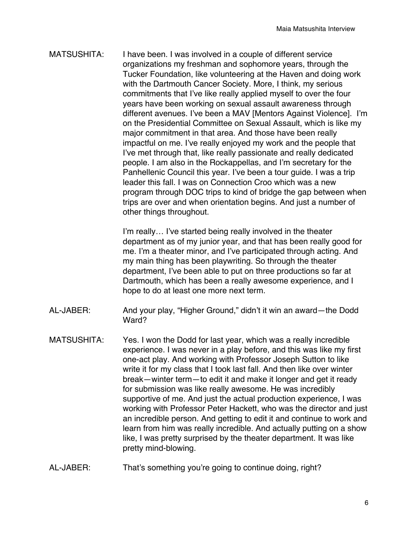MATSUSHITA: I have been. I was involved in a couple of different service organizations my freshman and sophomore years, through the Tucker Foundation, like volunteering at the Haven and doing work with the Dartmouth Cancer Society. More, I think, my serious commitments that I've like really applied myself to over the four years have been working on sexual assault awareness through different avenues. I've been a MAV [Mentors Against Violence]. I'm on the Presidential Committee on Sexual Assault, which is like my major commitment in that area. And those have been really impactful on me. I've really enjoyed my work and the people that I've met through that, like really passionate and really dedicated people. I am also in the Rockappellas, and I'm secretary for the Panhellenic Council this year. I've been a tour guide. I was a trip leader this fall. I was on Connection Croo which was a new program through DOC trips to kind of bridge the gap between when trips are over and when orientation begins. And just a number of other things throughout.

> I'm really… I've started being really involved in the theater department as of my junior year, and that has been really good for me. I'm a theater minor, and I've participated through acting. And my main thing has been playwriting. So through the theater department, I've been able to put on three productions so far at Dartmouth, which has been a really awesome experience, and I hope to do at least one more next term.

- AL-JABER: And your play, "Higher Ground," didn't it win an award—the Dodd Ward?
- MATSUSHITA: Yes. I won the Dodd for last year, which was a really incredible experience. I was never in a play before, and this was like my first one-act play. And working with Professor Joseph Sutton to like write it for my class that I took last fall. And then like over winter break—winter term—to edit it and make it longer and get it ready for submission was like really awesome. He was incredibly supportive of me. And just the actual production experience, I was working with Professor Peter Hackett, who was the director and just an incredible person. And getting to edit it and continue to work and learn from him was really incredible. And actually putting on a show like, I was pretty surprised by the theater department. It was like pretty mind-blowing.
- AL-JABER: That's something you're going to continue doing, right?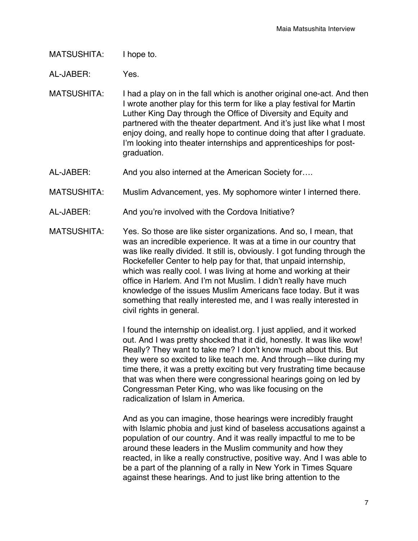MATSUSHITA: I hope to.

AL-JABER: Yes.

- MATSUSHITA: I had a play on in the fall which is another original one-act. And then I wrote another play for this term for like a play festival for Martin Luther King Day through the Office of Diversity and Equity and partnered with the theater department. And it's just like what I most enjoy doing, and really hope to continue doing that after I graduate. I'm looking into theater internships and apprenticeships for postgraduation.
- AL-JABER: And you also interned at the American Society for....
- MATSUSHITA: Muslim Advancement, yes. My sophomore winter I interned there.
- AL-JABER: And you're involved with the Cordova Initiative?
- MATSUSHITA: Yes. So those are like sister organizations. And so, I mean, that was an incredible experience. It was at a time in our country that was like really divided. It still is, obviously. I got funding through the Rockefeller Center to help pay for that, that unpaid internship, which was really cool. I was living at home and working at their office in Harlem. And I'm not Muslim. I didn't really have much knowledge of the issues Muslim Americans face today. But it was something that really interested me, and I was really interested in civil rights in general.

I found the internship on idealist.org. I just applied, and it worked out. And I was pretty shocked that it did, honestly. It was like wow! Really? They want to take me? I don't know much about this. But they were so excited to like teach me. And through—like during my time there, it was a pretty exciting but very frustrating time because that was when there were congressional hearings going on led by Congressman Peter King, who was like focusing on the radicalization of Islam in America.

And as you can imagine, those hearings were incredibly fraught with Islamic phobia and just kind of baseless accusations against a population of our country. And it was really impactful to me to be around these leaders in the Muslim community and how they reacted, in like a really constructive, positive way. And I was able to be a part of the planning of a rally in New York in Times Square against these hearings. And to just like bring attention to the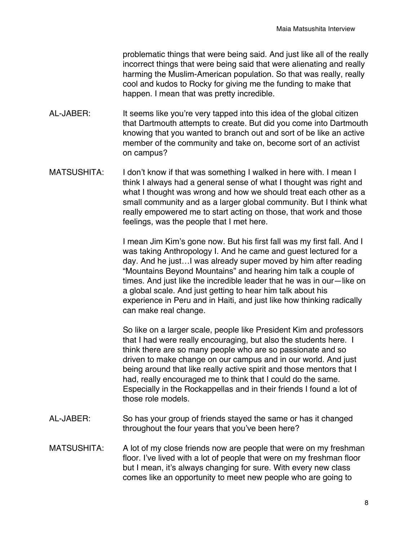problematic things that were being said. And just like all of the really incorrect things that were being said that were alienating and really harming the Muslim-American population. So that was really, really cool and kudos to Rocky for giving me the funding to make that happen. I mean that was pretty incredible.

- AL-JABER: It seems like you're very tapped into this idea of the global citizen that Dartmouth attempts to create. But did you come into Dartmouth knowing that you wanted to branch out and sort of be like an active member of the community and take on, become sort of an activist on campus?
- MATSUSHITA: I don't know if that was something I walked in here with. I mean I think I always had a general sense of what I thought was right and what I thought was wrong and how we should treat each other as a small community and as a larger global community. But I think what really empowered me to start acting on those, that work and those feelings, was the people that I met here.

I mean Jim Kim's gone now. But his first fall was my first fall. And I was taking Anthropology I. And he came and guest lectured for a day. And he just…I was already super moved by him after reading "Mountains Beyond Mountains" and hearing him talk a couple of times. And just like the incredible leader that he was in our—like on a global scale. And just getting to hear him talk about his experience in Peru and in Haiti, and just like how thinking radically can make real change.

So like on a larger scale, people like President Kim and professors that I had were really encouraging, but also the students here. I think there are so many people who are so passionate and so driven to make change on our campus and in our world. And just being around that like really active spirit and those mentors that I had, really encouraged me to think that I could do the same. Especially in the Rockappellas and in their friends I found a lot of those role models.

- AL-JABER: So has your group of friends stayed the same or has it changed throughout the four years that you've been here?
- MATSUSHITA: A lot of my close friends now are people that were on my freshman floor. I've lived with a lot of people that were on my freshman floor but I mean, it's always changing for sure. With every new class comes like an opportunity to meet new people who are going to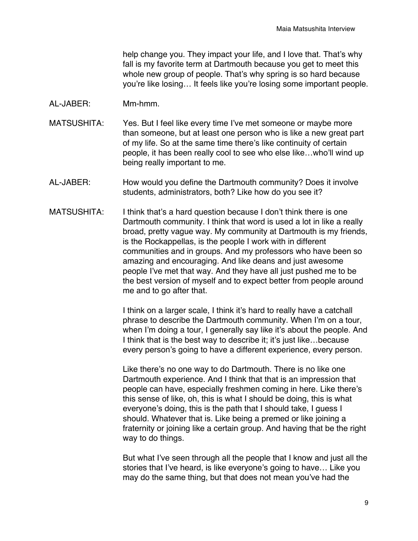help change you. They impact your life, and I love that. That's why fall is my favorite term at Dartmouth because you get to meet this whole new group of people. That's why spring is so hard because you're like losing… It feels like you're losing some important people.

- AL-JABER: Mm-hmm.
- MATSUSHITA: Yes. But I feel like every time I've met someone or maybe more than someone, but at least one person who is like a new great part of my life. So at the same time there's like continuity of certain people, it has been really cool to see who else like…who'll wind up being really important to me.
- AL-JABER: How would you define the Dartmouth community? Does it involve students, administrators, both? Like how do you see it?
- MATSUSHITA: I think that's a hard question because I don't think there is one Dartmouth community. I think that word is used a lot in like a really broad, pretty vague way. My community at Dartmouth is my friends, is the Rockappellas, is the people I work with in different communities and in groups. And my professors who have been so amazing and encouraging. And like deans and just awesome people I've met that way. And they have all just pushed me to be the best version of myself and to expect better from people around me and to go after that.

I think on a larger scale, I think it's hard to really have a catchall phrase to describe the Dartmouth community. When I'm on a tour, when I'm doing a tour, I generally say like it's about the people. And I think that is the best way to describe it; it's just like...because every person's going to have a different experience, every person.

Like there's no one way to do Dartmouth. There is no like one Dartmouth experience. And I think that that is an impression that people can have, especially freshmen coming in here. Like there's this sense of like, oh, this is what I should be doing, this is what everyone's doing, this is the path that I should take, I guess I should. Whatever that is. Like being a premed or like joining a fraternity or joining like a certain group. And having that be the right way to do things.

But what I've seen through all the people that I know and just all the stories that I've heard, is like everyone's going to have… Like you may do the same thing, but that does not mean you've had the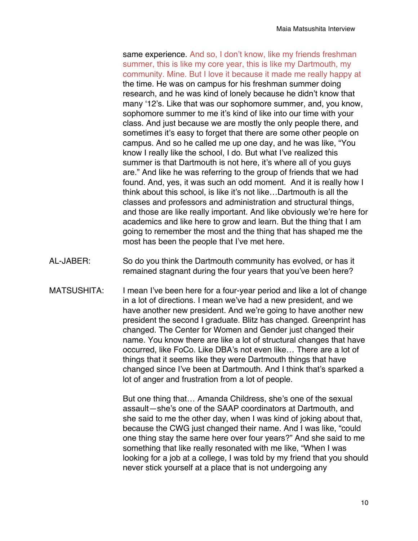same experience. And so, I don't know, like my friends freshman summer, this is like my core year, this is like my Dartmouth, my community. Mine. But I love it because it made me really happy at the time. He was on campus for his freshman summer doing research, and he was kind of lonely because he didn't know that many '12's. Like that was our sophomore summer, and, you know, sophomore summer to me it's kind of like into our time with your class. And just because we are mostly the only people there, and sometimes it's easy to forget that there are some other people on campus. And so he called me up one day, and he was like, "You know I really like the school, I do. But what I've realized this summer is that Dartmouth is not here, it's where all of you guys are." And like he was referring to the group of friends that we had found. And, yes, it was such an odd moment. And it is really how I think about this school, is like it's not like…Dartmouth is all the classes and professors and administration and structural things, and those are like really important. And like obviously we're here for academics and like here to grow and learn. But the thing that I am going to remember the most and the thing that has shaped me the most has been the people that I've met here.

- AL-JABER: So do you think the Dartmouth community has evolved, or has it remained stagnant during the four years that you've been here?
- MATSUSHITA: I mean I've been here for a four-year period and like a lot of change in a lot of directions. I mean we've had a new president, and we have another new president. And we're going to have another new president the second I graduate. Blitz has changed. Greenprint has changed. The Center for Women and Gender just changed their name. You know there are like a lot of structural changes that have occurred, like FoCo. Like DBA's not even like… There are a lot of things that it seems like they were Dartmouth things that have changed since I've been at Dartmouth. And I think that's sparked a lot of anger and frustration from a lot of people.

But one thing that… Amanda Childress, she's one of the sexual assault—she's one of the SAAP coordinators at Dartmouth, and she said to me the other day, when I was kind of joking about that, because the CWG just changed their name. And I was like, "could one thing stay the same here over four years?" And she said to me something that like really resonated with me like, "When I was looking for a job at a college, I was told by my friend that you should never stick yourself at a place that is not undergoing any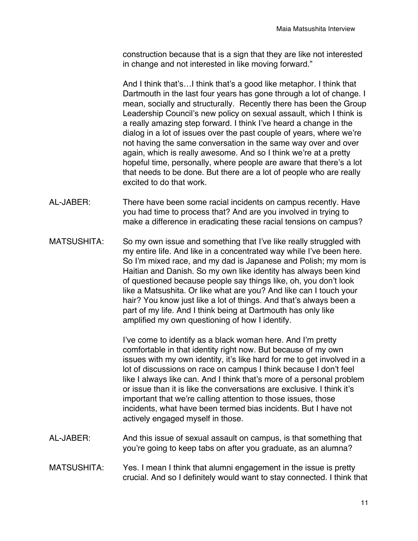construction because that is a sign that they are like not interested in change and not interested in like moving forward."

And I think that's…I think that's a good like metaphor. I think that Dartmouth in the last four years has gone through a lot of change. I mean, socially and structurally. Recently there has been the Group Leadership Council's new policy on sexual assault, which I think is a really amazing step forward. I think I've heard a change in the dialog in a lot of issues over the past couple of years, where we're not having the same conversation in the same way over and over again, which is really awesome. And so I think we're at a pretty hopeful time, personally, where people are aware that there's a lot that needs to be done. But there are a lot of people who are really excited to do that work.

- AL-JABER: There have been some racial incidents on campus recently. Have you had time to process that? And are you involved in trying to make a difference in eradicating these racial tensions on campus?
- MATSUSHITA: So my own issue and something that I've like really struggled with my entire life. And like in a concentrated way while I've been here. So I'm mixed race, and my dad is Japanese and Polish; my mom is Haitian and Danish. So my own like identity has always been kind of questioned because people say things like, oh, you don't look like a Matsushita. Or like what are you? And like can I touch your hair? You know just like a lot of things. And that's always been a part of my life. And I think being at Dartmouth has only like amplified my own questioning of how I identify.

I've come to identify as a black woman here. And I'm pretty comfortable in that identity right now. But because of my own issues with my own identity, it's like hard for me to get involved in a lot of discussions on race on campus I think because I don't feel like I always like can. And I think that's more of a personal problem or issue than it is like the conversations are exclusive. I think it's important that we're calling attention to those issues, those incidents, what have been termed bias incidents. But I have not actively engaged myself in those.

- AL-JABER: And this issue of sexual assault on campus, is that something that you're going to keep tabs on after you graduate, as an alumna?
- MATSUSHITA: Yes. I mean I think that alumni engagement in the issue is pretty crucial. And so I definitely would want to stay connected. I think that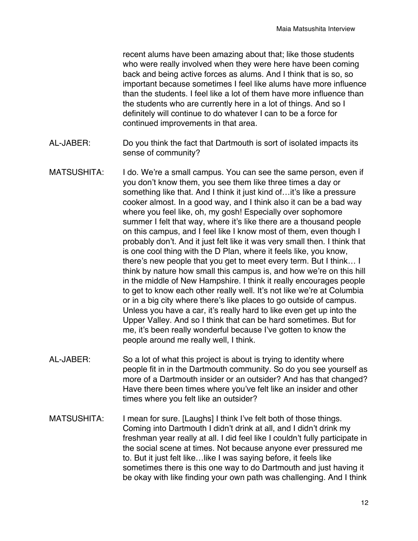recent alums have been amazing about that; like those students who were really involved when they were here have been coming back and being active forces as alums. And I think that is so, so important because sometimes I feel like alums have more influence than the students. I feel like a lot of them have more influence than the students who are currently here in a lot of things. And so I definitely will continue to do whatever I can to be a force for continued improvements in that area.

- AL-JABER: Do you think the fact that Dartmouth is sort of isolated impacts its sense of community?
- MATSUSHITA: I do. We're a small campus. You can see the same person, even if you don't know them, you see them like three times a day or something like that. And I think it just kind of...it's like a pressure cooker almost. In a good way, and I think also it can be a bad way where you feel like, oh, my gosh! Especially over sophomore summer I felt that way, where it's like there are a thousand people on this campus, and I feel like I know most of them, even though I probably don't. And it just felt like it was very small then. I think that is one cool thing with the D Plan, where it feels like, you know, there's new people that you get to meet every term. But I think… I think by nature how small this campus is, and how we're on this hill in the middle of New Hampshire. I think it really encourages people to get to know each other really well. It's not like we're at Columbia or in a big city where there's like places to go outside of campus. Unless you have a car, it's really hard to like even get up into the Upper Valley. And so I think that can be hard sometimes. But for me, it's been really wonderful because I've gotten to know the people around me really well, I think.
- AL-JABER: So a lot of what this project is about is trying to identity where people fit in in the Dartmouth community. So do you see yourself as more of a Dartmouth insider or an outsider? And has that changed? Have there been times where you've felt like an insider and other times where you felt like an outsider?
- MATSUSHITA: I mean for sure. [Laughs] I think I've felt both of those things. Coming into Dartmouth I didn't drink at all, and I didn't drink my freshman year really at all. I did feel like I couldn't fully participate in the social scene at times. Not because anyone ever pressured me to. But it just felt like…like I was saying before, it feels like sometimes there is this one way to do Dartmouth and just having it be okay with like finding your own path was challenging. And I think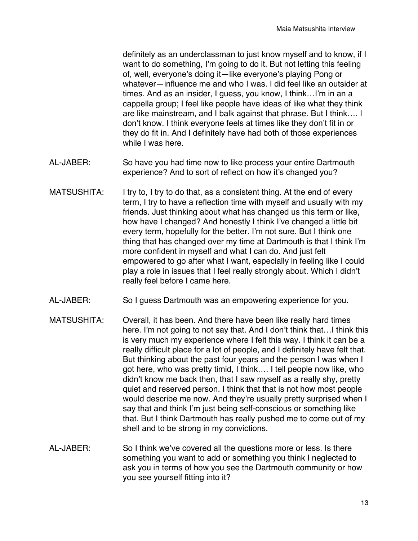definitely as an underclassman to just know myself and to know, if I want to do something, I'm going to do it. But not letting this feeling of, well, everyone's doing it—like everyone's playing Pong or whatever—influence me and who I was. I did feel like an outsider at times. And as an insider, I guess, you know, I think…I'm in an a cappella group; I feel like people have ideas of like what they think are like mainstream, and I balk against that phrase. But I think…. I don't know. I think everyone feels at times like they don't fit in or they do fit in. And I definitely have had both of those experiences while I was here.

- AL-JABER: So have you had time now to like process your entire Dartmouth experience? And to sort of reflect on how it's changed you?
- MATSUSHITA: I try to, I try to do that, as a consistent thing. At the end of every term, I try to have a reflection time with myself and usually with my friends. Just thinking about what has changed us this term or like, how have I changed? And honestly I think I've changed a little bit every term, hopefully for the better. I'm not sure. But I think one thing that has changed over my time at Dartmouth is that I think I'm more confident in myself and what I can do. And just felt empowered to go after what I want, especially in feeling like I could play a role in issues that I feel really strongly about. Which I didn't really feel before I came here.
- AL-JABER: So I guess Dartmouth was an empowering experience for you.
- MATSUSHITA: Overall, it has been. And there have been like really hard times here. I'm not going to not say that. And I don't think that…I think this is very much my experience where I felt this way. I think it can be a really difficult place for a lot of people, and I definitely have felt that. But thinking about the past four years and the person I was when I got here, who was pretty timid, I think…. I tell people now like, who didn't know me back then, that I saw myself as a really shy, pretty quiet and reserved person. I think that that is not how most people would describe me now. And they're usually pretty surprised when I say that and think I'm just being self-conscious or something like that. But I think Dartmouth has really pushed me to come out of my shell and to be strong in my convictions.
- AL-JABER: So I think we've covered all the questions more or less. Is there something you want to add or something you think I neglected to ask you in terms of how you see the Dartmouth community or how you see yourself fitting into it?